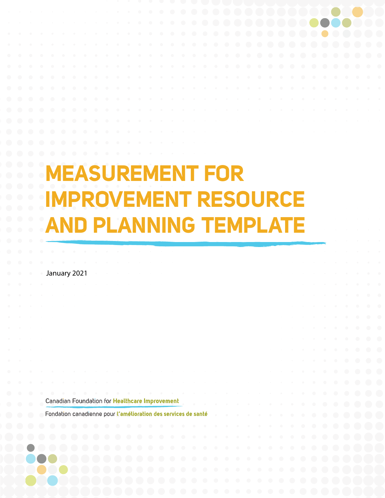## **MEASUREMENT FOR IMPROVEMENT RESOURCE AND PLANNING TEMPLATE**

January 2021

Canadian Foundation for Healthcare Improvement

Fondation canadienne pour l'amélioration des services de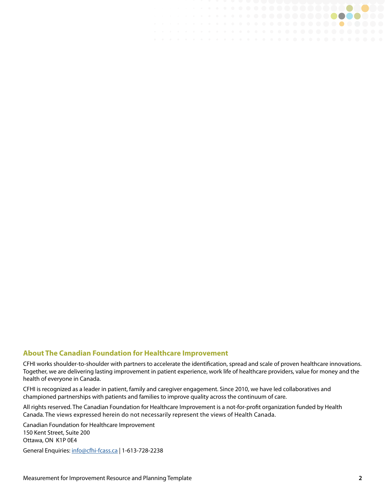## **About The Canadian Foundation for Healthcare Improvement**

CFHI works shoulder-to-shoulder with partners to accelerate the identification, spread and scale of proven healthcare innovations. Together, we are delivering lasting improvement in patient experience, work life of healthcare providers, value for money and the health of everyone in Canada.

. . . . . . **. . . . . . . . . .** . . .

CFHI is recognized as a leader in patient, family and caregiver engagement. Since 2010, we have led collaboratives and championed partnerships with patients and families to improve quality across the continuum of care.

All rights reserved. The Canadian Foundation for Healthcare Improvement is a not-for-profit organization funded by Health Canada. The views expressed herein do not necessarily represent the views of Health Canada.

Canadian Foundation for Healthcare Improvement 150 Kent Street, Suite 200 Ottawa, ON K1P 0E4

General Enquiries: [info@cfhi-fcass.ca](mailto:info%40cfhi-fcass.ca?subject=) | 1-613-728-2238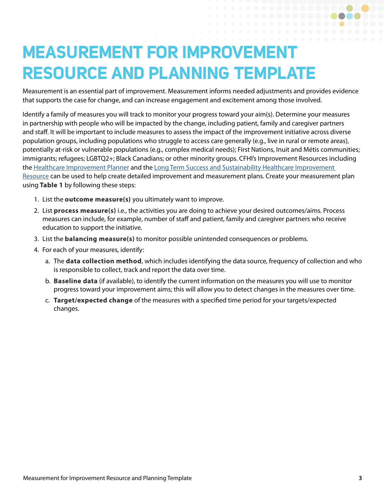## **MEASUREMENT FOR IMPROVEMENT RESOURCE AND PLANNING TEMPLATE**

Measurement is an essential part of improvement. Measurement informs needed adjustments and provides evidence that supports the case for change, and can increase engagement and excitement among those involved.

Identify a family of measures you will track to monitor your progress toward your aim(s). Determine your measures in partnership with people who will be impacted by the change, including patient, family and caregiver partners and staff. It will be important to include measures to assess the impact of the improvement initiative across diverse population groups, including populations who struggle to access care generally (e.g., live in rural or remote areas), potentially at-risk or vulnerable populations (e.g., complex medical needs); First Nations, Inuit and Métis communities; immigrants; refugees; LGBTQ2+; Black Canadians; or other minority groups. CFHI's Improvement Resources including the [Healthcare Improvement Planner](https://www.cfhi-fcass.ca/docs/default-source/itr/tools-and-resources/qi/healthcare-improvement-planner-e.pdf) and the [Long Term Success and Sustainability Healthcare Improvement](https://www.cfhi-fcass.ca/docs/default-source/itr/tools-and-resources/qi/long-term-success-sustainability-improvement-resource-e.pdf)  [Resource](https://www.cfhi-fcass.ca/docs/default-source/itr/tools-and-resources/qi/long-term-success-sustainability-improvement-resource-e.pdf) can be used to help create detailed improvement and measurement plans. Create your measurement plan using **Table 1** by following these steps:

- 1. List the **outcome measure(s)** you ultimately want to improve.
- 2. List **process measure(s)** i.e., the activities you are doing to achieve your desired outcomes/aims. Process measures can include, for example, number of staff and patient, family and caregiver partners who receive education to support the initiative.
- 3. List the **balancing measure(s)** to monitor possible unintended consequences or problems.
- 4. For each of your measures, identify:
	- a. The **data collection method**, which includes identifying the data source, frequency of collection and who is responsible to collect, track and report the data over time.
	- b. **Baseline data** (if available), to identify the current information on the measures you will use to monitor progress toward your improvement aims; this will allow you to detect changes in the measures over time.
	- c. **Target/expected change** of the measures with a specified time period for your targets/expected changes.